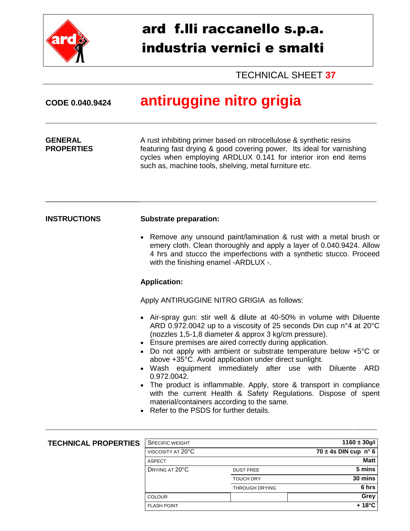

## ard f.lli raccanello s.p.a. industria vernici e smalti

TECHNICAL SHEET **37**

| CODE 0.040.9424                     | antiruggine nitro grigia                                                                                                                                                                                                                                                                                                                                                                                                                                                                                                                                                                                                                                                                                             |
|-------------------------------------|----------------------------------------------------------------------------------------------------------------------------------------------------------------------------------------------------------------------------------------------------------------------------------------------------------------------------------------------------------------------------------------------------------------------------------------------------------------------------------------------------------------------------------------------------------------------------------------------------------------------------------------------------------------------------------------------------------------------|
| <b>GENERAL</b><br><b>PROPERTIES</b> | A rust inhibiting primer based on nitrocellulose & synthetic resins<br>featuring fast drying & good covering power. Its ideal for varnishing<br>cycles when employing ARDLUX 0.141 for interior iron end items<br>such as, machine tools, shelving, metal furniture etc.                                                                                                                                                                                                                                                                                                                                                                                                                                             |
| <b>INSTRUCTIONS</b>                 | <b>Substrate preparation:</b>                                                                                                                                                                                                                                                                                                                                                                                                                                                                                                                                                                                                                                                                                        |
|                                     | Remove any unsound paint/lamination & rust with a metal brush or<br>emery cloth. Clean thoroughly and apply a layer of 0.040.9424. Allow<br>4 hrs and stucco the imperfections with a synthetic stucco. Proceed<br>with the finishing enamel -ARDLUX -.                                                                                                                                                                                                                                                                                                                                                                                                                                                              |
|                                     | <b>Application:</b>                                                                                                                                                                                                                                                                                                                                                                                                                                                                                                                                                                                                                                                                                                  |
|                                     | Apply ANTIRUGGINE NITRO GRIGIA as follows:                                                                                                                                                                                                                                                                                                                                                                                                                                                                                                                                                                                                                                                                           |
|                                     | • Air-spray gun: stir well & dilute at 40-50% in volume with Diluente<br>ARD 0.972.0042 up to a viscosity of 25 seconds Din cup n°4 at 20°C<br>(nozzles 1,5-1,8 diameter & approx 3 kg/cm pressure).<br>• Ensure premises are aired correctly during application.<br>Do not apply with ambient or substrate temperature below +5°C or<br>above +35°C. Avoid application under direct sunlight.<br>Wash equipment immediately after use with Diluente ARD<br>0.972.0042.<br>The product is inflammable. Apply, store & transport in compliance<br>with the current Health & Safety Regulations. Dispose of spent<br>material/containers according to the same.<br>Refer to the PSDS for further details.<br>$\bullet$ |
|                                     |                                                                                                                                                                                                                                                                                                                                                                                                                                                                                                                                                                                                                                                                                                                      |
| <b>TECHNICAL PROPERTIES</b>         | <b>SPECIFIC WEIGHT</b><br>$1160 \pm 30$ g/l<br>$70 \pm 4s$ DIN cup n° 6<br>VISCOSITY AT 20°C                                                                                                                                                                                                                                                                                                                                                                                                                                                                                                                                                                                                                         |
|                                     |                                                                                                                                                                                                                                                                                                                                                                                                                                                                                                                                                                                                                                                                                                                      |

ASPECT **Matt DRYING AT 20°C** DUST FREE **5 mins** 

COLOUR **Grey** FLASH POINT **+ 18°C**

TOUCH DRY **30 mins** THROUGH DRYING **6 hrs**